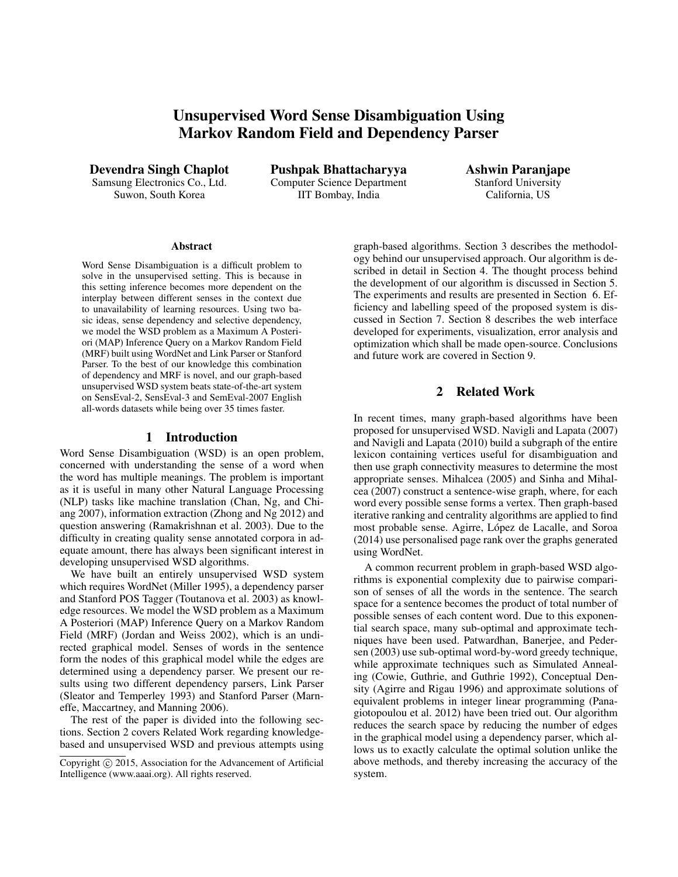# Unsupervised Word Sense Disambiguation Using Markov Random Field and Dependency Parser

Devendra Singh Chaplot Samsung Electronics Co., Ltd. Suwon, South Korea

Pushpak Bhattacharyya Computer Science Department IIT Bombay, India

Ashwin Paranjape Stanford University California, US

#### Abstract

Word Sense Disambiguation is a difficult problem to solve in the unsupervised setting. This is because in this setting inference becomes more dependent on the interplay between different senses in the context due to unavailability of learning resources. Using two basic ideas, sense dependency and selective dependency, we model the WSD problem as a Maximum A Posteriori (MAP) Inference Query on a Markov Random Field (MRF) built using WordNet and Link Parser or Stanford Parser. To the best of our knowledge this combination of dependency and MRF is novel, and our graph-based unsupervised WSD system beats state-of-the-art system on SensEval-2, SensEval-3 and SemEval-2007 English all-words datasets while being over 35 times faster.

## 1 Introduction

Word Sense Disambiguation (WSD) is an open problem, concerned with understanding the sense of a word when the word has multiple meanings. The problem is important as it is useful in many other Natural Language Processing (NLP) tasks like machine translation (Chan, Ng, and Chiang 2007), information extraction (Zhong and Ng 2012) and question answering (Ramakrishnan et al. 2003). Due to the difficulty in creating quality sense annotated corpora in adequate amount, there has always been significant interest in developing unsupervised WSD algorithms.

We have built an entirely unsupervised WSD system which requires WordNet (Miller 1995), a dependency parser and Stanford POS Tagger (Toutanova et al. 2003) as knowledge resources. We model the WSD problem as a Maximum A Posteriori (MAP) Inference Query on a Markov Random Field (MRF) (Jordan and Weiss 2002), which is an undirected graphical model. Senses of words in the sentence form the nodes of this graphical model while the edges are determined using a dependency parser. We present our results using two different dependency parsers, Link Parser (Sleator and Temperley 1993) and Stanford Parser (Marneffe, Maccartney, and Manning 2006).

The rest of the paper is divided into the following sections. Section 2 covers Related Work regarding knowledgebased and unsupervised WSD and previous attempts using

graph-based algorithms. Section 3 describes the methodology behind our unsupervised approach. Our algorithm is described in detail in Section 4. The thought process behind the development of our algorithm is discussed in Section 5. The experiments and results are presented in Section 6. Efficiency and labelling speed of the proposed system is discussed in Section 7. Section 8 describes the web interface developed for experiments, visualization, error analysis and optimization which shall be made open-source. Conclusions and future work are covered in Section 9.

## 2 Related Work

In recent times, many graph-based algorithms have been proposed for unsupervised WSD. Navigli and Lapata (2007) and Navigli and Lapata (2010) build a subgraph of the entire lexicon containing vertices useful for disambiguation and then use graph connectivity measures to determine the most appropriate senses. Mihalcea (2005) and Sinha and Mihalcea (2007) construct a sentence-wise graph, where, for each word every possible sense forms a vertex. Then graph-based iterative ranking and centrality algorithms are applied to find most probable sense. Agirre, López de Lacalle, and Soroa (2014) use personalised page rank over the graphs generated using WordNet.

A common recurrent problem in graph-based WSD algorithms is exponential complexity due to pairwise comparison of senses of all the words in the sentence. The search space for a sentence becomes the product of total number of possible senses of each content word. Due to this exponential search space, many sub-optimal and approximate techniques have been used. Patwardhan, Banerjee, and Pedersen (2003) use sub-optimal word-by-word greedy technique, while approximate techniques such as Simulated Annealing (Cowie, Guthrie, and Guthrie 1992), Conceptual Density (Agirre and Rigau 1996) and approximate solutions of equivalent problems in integer linear programming (Panagiotopoulou et al. 2012) have been tried out. Our algorithm reduces the search space by reducing the number of edges in the graphical model using a dependency parser, which allows us to exactly calculate the optimal solution unlike the above methods, and thereby increasing the accuracy of the system.

Copyright  $\odot$  2015, Association for the Advancement of Artificial Intelligence (www.aaai.org). All rights reserved.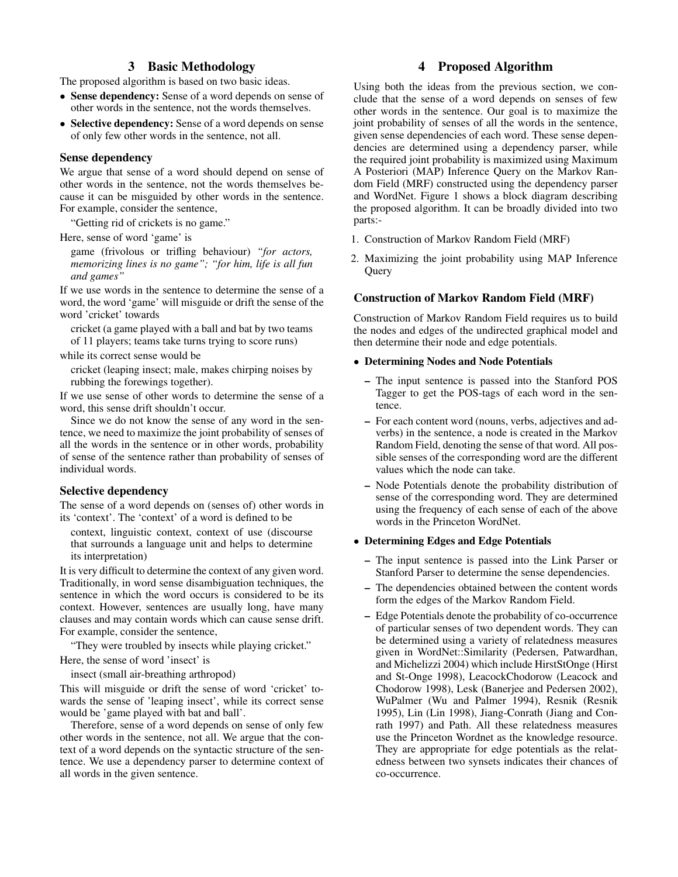## 3 Basic Methodology

The proposed algorithm is based on two basic ideas.

- Sense dependency: Sense of a word depends on sense of other words in the sentence, not the words themselves.
- Selective dependency: Sense of a word depends on sense of only few other words in the sentence, not all.

## Sense dependency

We argue that sense of a word should depend on sense of other words in the sentence, not the words themselves because it can be misguided by other words in the sentence. For example, consider the sentence,

"Getting rid of crickets is no game."

Here, sense of word 'game' is

game (frivolous or trifling behaviour) *"for actors, memorizing lines is no game"; "for him, life is all fun and games"*

If we use words in the sentence to determine the sense of a word, the word 'game' will misguide or drift the sense of the word 'cricket' towards

cricket (a game played with a ball and bat by two teams of 11 players; teams take turns trying to score runs)

while its correct sense would be

cricket (leaping insect; male, makes chirping noises by rubbing the forewings together).

If we use sense of other words to determine the sense of a word, this sense drift shouldn't occur.

Since we do not know the sense of any word in the sentence, we need to maximize the joint probability of senses of all the words in the sentence or in other words, probability of sense of the sentence rather than probability of senses of individual words.

## Selective dependency

The sense of a word depends on (senses of) other words in its 'context'. The 'context' of a word is defined to be

context, linguistic context, context of use (discourse that surrounds a language unit and helps to determine its interpretation)

It is very difficult to determine the context of any given word. Traditionally, in word sense disambiguation techniques, the sentence in which the word occurs is considered to be its context. However, sentences are usually long, have many clauses and may contain words which can cause sense drift. For example, consider the sentence,

"They were troubled by insects while playing cricket." Here, the sense of word 'insect' is

insect (small air-breathing arthropod)

This will misguide or drift the sense of word 'cricket' towards the sense of 'leaping insect', while its correct sense would be 'game played with bat and ball'.

Therefore, sense of a word depends on sense of only few other words in the sentence, not all. We argue that the context of a word depends on the syntactic structure of the sentence. We use a dependency parser to determine context of all words in the given sentence.

## 4 Proposed Algorithm

Using both the ideas from the previous section, we conclude that the sense of a word depends on senses of few other words in the sentence. Our goal is to maximize the joint probability of senses of all the words in the sentence, given sense dependencies of each word. These sense dependencies are determined using a dependency parser, while the required joint probability is maximized using Maximum A Posteriori (MAP) Inference Query on the Markov Random Field (MRF) constructed using the dependency parser and WordNet. Figure 1 shows a block diagram describing the proposed algorithm. It can be broadly divided into two parts:-

- 1. Construction of Markov Random Field (MRF)
- 2. Maximizing the joint probability using MAP Inference Query

## Construction of Markov Random Field (MRF)

Construction of Markov Random Field requires us to build the nodes and edges of the undirected graphical model and then determine their node and edge potentials.

#### • Determining Nodes and Node Potentials

- The input sentence is passed into the Stanford POS Tagger to get the POS-tags of each word in the sentence.
- For each content word (nouns, verbs, adjectives and adverbs) in the sentence, a node is created in the Markov Random Field, denoting the sense of that word. All possible senses of the corresponding word are the different values which the node can take.
- Node Potentials denote the probability distribution of sense of the corresponding word. They are determined using the frequency of each sense of each of the above words in the Princeton WordNet.

## • Determining Edges and Edge Potentials

- The input sentence is passed into the Link Parser or Stanford Parser to determine the sense dependencies.
- The dependencies obtained between the content words form the edges of the Markov Random Field.
- Edge Potentials denote the probability of co-occurrence of particular senses of two dependent words. They can be determined using a variety of relatedness measures given in WordNet::Similarity (Pedersen, Patwardhan, and Michelizzi 2004) which include HirstStOnge (Hirst and St-Onge 1998), LeacockChodorow (Leacock and Chodorow 1998), Lesk (Banerjee and Pedersen 2002), WuPalmer (Wu and Palmer 1994), Resnik (Resnik 1995), Lin (Lin 1998), Jiang-Conrath (Jiang and Conrath 1997) and Path. All these relatedness measures use the Princeton Wordnet as the knowledge resource. They are appropriate for edge potentials as the relatedness between two synsets indicates their chances of co-occurrence.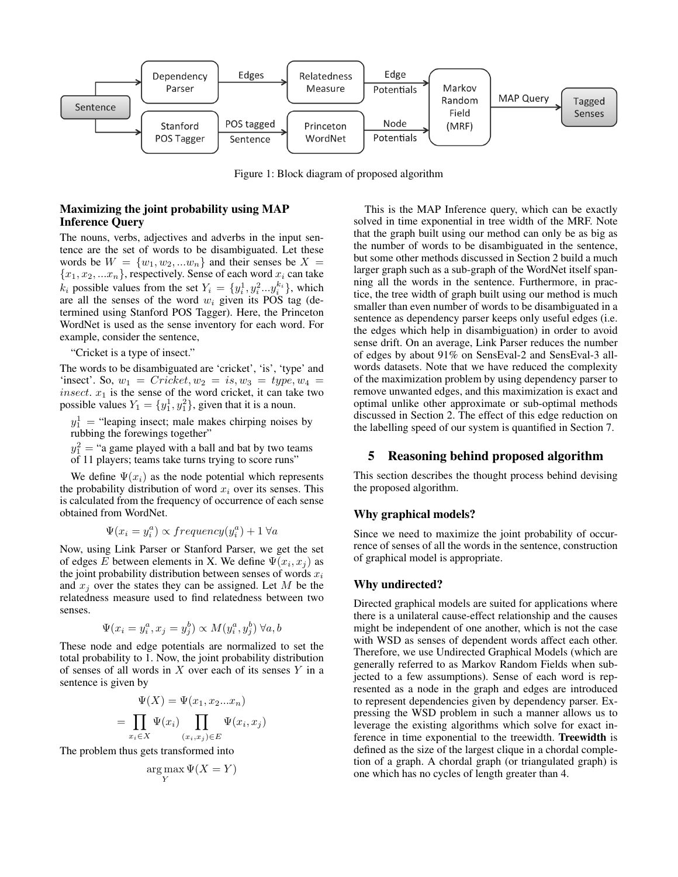

Figure 1: Block diagram of proposed algorithm

## Maximizing the joint probability using MAP Inference Query

The nouns, verbs, adjectives and adverbs in the input sentence are the set of words to be disambiguated. Let these words be  $W = \{w_1, w_2, ... w_n\}$  and their senses be  $X =$  $\{x_1, x_2, ... x_n\},$  respectively. Sense of each word  $x_i$  can take  $k_i$  possible values from the set  $Y_i = \{y_i^1, y_i^2 \dots y_i^{k_i}\},\$  which are all the senses of the word  $w_i$  given its POS tag (determined using Stanford POS Tagger). Here, the Princeton WordNet is used as the sense inventory for each word. For example, consider the sentence,

"Cricket is a type of insect."

The words to be disambiguated are 'cricket', 'is', 'type' and 'insect'. So,  $w_1 = \text{Cricket}, w_2 = \text{is}, w_3 = \text{type}, w_4 =$ insect.  $x_1$  is the sense of the word cricket, it can take two possible values  $Y_1 = \{y_1^1, y_1^2\}$ , given that it is a noun.

 $y_1^1$  = "leaping insect; male makes chirping noises by rubbing the forewings together"

 $y_1^2$  = "a game played with a ball and bat by two teams of 11 players; teams take turns trying to score runs"

We define  $\Psi(x_i)$  as the node potential which represents the probability distribution of word  $x_i$  over its senses. This is calculated from the frequency of occurrence of each sense obtained from WordNet.

$$
\Psi(x_i = y_i^a) \propto frequency(y_i^a) + 1 \,\forall a
$$

Now, using Link Parser or Stanford Parser, we get the set of edges E between elements in X. We define  $\Psi(x_i, x_j)$  as the joint probability distribution between senses of words  $x_i$ and  $x_i$  over the states they can be assigned. Let M be the relatedness measure used to find relatedness between two senses.

$$
\Psi(x_i = y_i^a, x_j = y_j^b) \propto M(y_i^a, y_j^b) \,\forall a, b
$$

These node and edge potentials are normalized to set the total probability to 1. Now, the joint probability distribution of senses of all words in  $X$  over each of its senses  $Y$  in a sentence is given by

$$
\Psi(X) = \Psi(x_1, x_2...x_n)
$$

$$
= \prod_{x_i \in X} \Psi(x_i) \prod_{(x_i, x_j) \in E} \Psi(x_i, x_j)
$$

The problem thus gets transformed into

=

$$
\argmax_Y \Psi(X = Y)
$$

This is the MAP Inference query, which can be exactly solved in time exponential in tree width of the MRF. Note that the graph built using our method can only be as big as the number of words to be disambiguated in the sentence, but some other methods discussed in Section 2 build a much larger graph such as a sub-graph of the WordNet itself spanning all the words in the sentence. Furthermore, in practice, the tree width of graph built using our method is much smaller than even number of words to be disambiguated in a sentence as dependency parser keeps only useful edges (i.e. the edges which help in disambiguation) in order to avoid sense drift. On an average, Link Parser reduces the number of edges by about 91% on SensEval-2 and SensEval-3 allwords datasets. Note that we have reduced the complexity of the maximization problem by using dependency parser to remove unwanted edges, and this maximization is exact and optimal unlike other approximate or sub-optimal methods discussed in Section 2. The effect of this edge reduction on the labelling speed of our system is quantified in Section 7.

## 5 Reasoning behind proposed algorithm

This section describes the thought process behind devising the proposed algorithm.

#### Why graphical models?

Since we need to maximize the joint probability of occurrence of senses of all the words in the sentence, construction of graphical model is appropriate.

#### Why undirected?

Directed graphical models are suited for applications where there is a unilateral cause-effect relationship and the causes might be independent of one another, which is not the case with WSD as senses of dependent words affect each other. Therefore, we use Undirected Graphical Models (which are generally referred to as Markov Random Fields when subjected to a few assumptions). Sense of each word is represented as a node in the graph and edges are introduced to represent dependencies given by dependency parser. Expressing the WSD problem in such a manner allows us to leverage the existing algorithms which solve for exact inference in time exponential to the treewidth. Treewidth is defined as the size of the largest clique in a chordal completion of a graph. A chordal graph (or triangulated graph) is one which has no cycles of length greater than 4.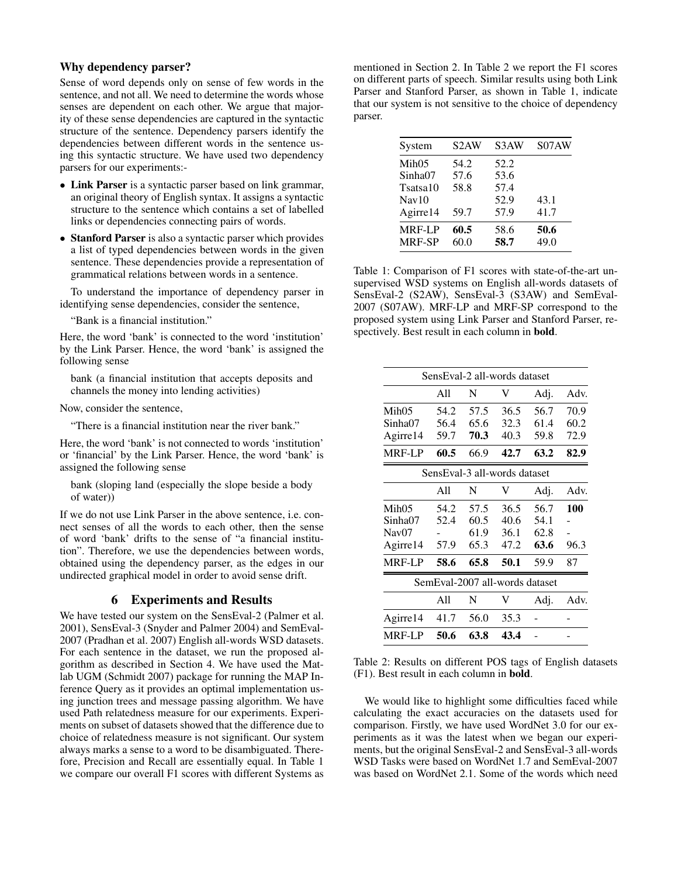## Why dependency parser?

Sense of word depends only on sense of few words in the sentence, and not all. We need to determine the words whose senses are dependent on each other. We argue that majority of these sense dependencies are captured in the syntactic structure of the sentence. Dependency parsers identify the dependencies between different words in the sentence using this syntactic structure. We have used two dependency parsers for our experiments:-

- Link Parser is a syntactic parser based on link grammar, an original theory of English syntax. It assigns a syntactic structure to the sentence which contains a set of labelled links or dependencies connecting pairs of words.
- Stanford Parser is also a syntactic parser which provides a list of typed dependencies between words in the given sentence. These dependencies provide a representation of grammatical relations between words in a sentence.

To understand the importance of dependency parser in identifying sense dependencies, consider the sentence,

"Bank is a financial institution."

Here, the word 'bank' is connected to the word 'institution' by the Link Parser. Hence, the word 'bank' is assigned the following sense

bank (a financial institution that accepts deposits and channels the money into lending activities)

Now, consider the sentence,

"There is a financial institution near the river bank."

Here, the word 'bank' is not connected to words 'institution' or 'financial' by the Link Parser. Hence, the word 'bank' is assigned the following sense

bank (sloping land (especially the slope beside a body of water))

If we do not use Link Parser in the above sentence, i.e. connect senses of all the words to each other, then the sense of word 'bank' drifts to the sense of "a financial institution". Therefore, we use the dependencies between words, obtained using the dependency parser, as the edges in our undirected graphical model in order to avoid sense drift.

## 6 Experiments and Results

We have tested our system on the SensEval-2 (Palmer et al. 2001), SensEval-3 (Snyder and Palmer 2004) and SemEval-2007 (Pradhan et al. 2007) English all-words WSD datasets. For each sentence in the dataset, we run the proposed algorithm as described in Section 4. We have used the Matlab UGM (Schmidt 2007) package for running the MAP Inference Query as it provides an optimal implementation using junction trees and message passing algorithm. We have used Path relatedness measure for our experiments. Experiments on subset of datasets showed that the difference due to choice of relatedness measure is not significant. Our system always marks a sense to a word to be disambiguated. Therefore, Precision and Recall are essentially equal. In Table 1 we compare our overall F1 scores with different Systems as

mentioned in Section 2. In Table 2 we report the F1 scores on different parts of speech. Similar results using both Link Parser and Stanford Parser, as shown in Table 1, indicate that our system is not sensitive to the choice of dependency parser.

| System            | S <sub>2</sub> AW | S3AW | S07AW |
|-------------------|-------------------|------|-------|
| Mih <sub>05</sub> | 54.2              | 52.2 |       |
| Sinha07           | 57.6              | 53.6 |       |
| Tsatsa10          | 58.8              | 57.4 |       |
| $\text{Nav}10$    |                   | 52.9 | 43.1  |
| Agirre14          | 59.7              | 57.9 | 41.7  |
| <b>MRF-LP</b>     | 60.5              | 58.6 | 50.6  |
| <b>MRF-SP</b>     | 60.0              | 58.7 | 49.0  |
|                   |                   |      |       |

Table 1: Comparison of F1 scores with state-of-the-art unsupervised WSD systems on English all-words datasets of SensEval-2 (S2AW), SensEval-3 (S3AW) and SemEval-2007 (S07AW). MRF-LP and MRF-SP correspond to the proposed system using Link Parser and Stanford Parser, respectively. Best result in each column in bold.

|                                |      |      | SensEval-2 all-words dataset |      |      |
|--------------------------------|------|------|------------------------------|------|------|
|                                | A11  | N    | V                            | Adj. | Adv. |
| Mih05                          | 54.2 | 57.5 | 36.5                         | 56.7 | 70.9 |
| Sinha07                        | 56.4 | 65.6 | 32.3                         | 61.4 | 60.2 |
| Agirre14                       | 59.7 | 70.3 | 40.3                         | 59.8 | 72.9 |
| <b>MRF-LP</b>                  | 60.5 | 66.9 | 42.7                         | 63.2 | 82.9 |
|                                |      |      | SensEval-3 all-words dataset |      |      |
|                                | A11  | N    | V                            | Adj. | Adv. |
| Mih05                          | 54.2 | 57.5 | 36.5                         | 56.7 | 100  |
| Sinha07                        | 52.4 | 60.5 | 40.6                         | 54.1 |      |
| Nav07                          |      | 61.9 | 36.1                         | 62.8 |      |
| Agirre14                       | 57.9 | 65.3 | 47.2                         | 63.6 | 96.3 |
| <b>MRF-LP</b>                  | 58.6 | 65.8 | 50.1                         | 59.9 | 87   |
| SemEval-2007 all-words dataset |      |      |                              |      |      |
|                                | A11  | N    | V                            | Adj. | Adv. |
| Agirre14                       | 41.7 | 56.0 | 35.3                         |      |      |
| <b>MRF-LP</b>                  | 50.6 | 63.8 | 43.4                         |      |      |

Table 2: Results on different POS tags of English datasets (F1). Best result in each column in bold.

We would like to highlight some difficulties faced while calculating the exact accuracies on the datasets used for comparison. Firstly, we have used WordNet 3.0 for our experiments as it was the latest when we began our experiments, but the original SensEval-2 and SensEval-3 all-words WSD Tasks were based on WordNet 1.7 and SemEval-2007 was based on WordNet 2.1. Some of the words which need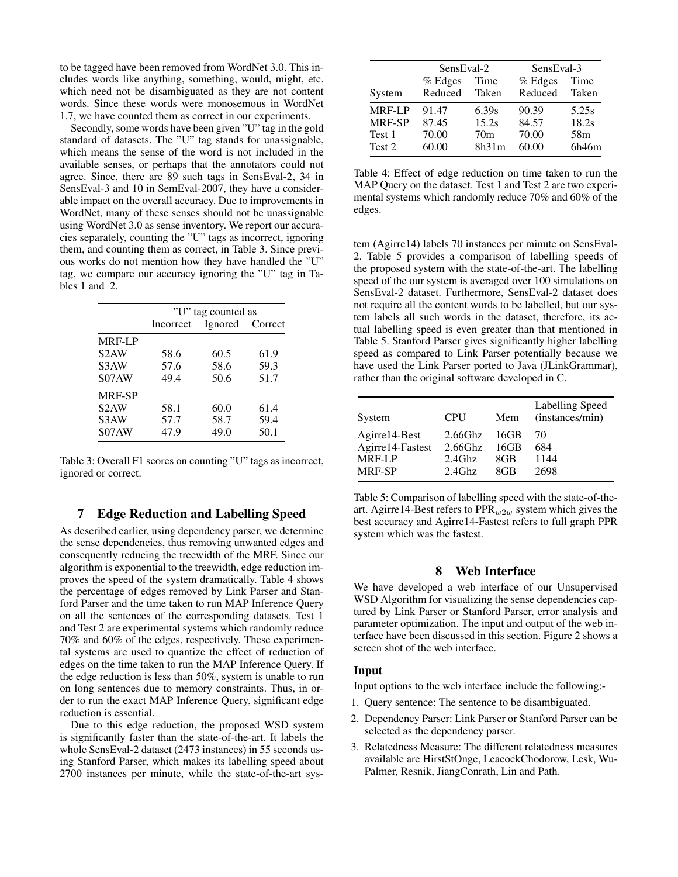to be tagged have been removed from WordNet 3.0. This includes words like anything, something, would, might, etc. which need not be disambiguated as they are not content words. Since these words were monosemous in WordNet 1.7, we have counted them as correct in our experiments.

Secondly, some words have been given "U" tag in the gold standard of datasets. The "U" tag stands for unassignable, which means the sense of the word is not included in the available senses, or perhaps that the annotators could not agree. Since, there are 89 such tags in SensEval-2, 34 in SensEval-3 and 10 in SemEval-2007, they have a considerable impact on the overall accuracy. Due to improvements in WordNet, many of these senses should not be unassignable using WordNet 3.0 as sense inventory. We report our accuracies separately, counting the "U" tags as incorrect, ignoring them, and counting them as correct, in Table 3. Since previous works do not mention how they have handled the "U" tag, we compare our accuracy ignoring the "U" tag in Tables 1 and 2.

|                   | "U" tag counted as |                 |      |  |
|-------------------|--------------------|-----------------|------|--|
|                   | Incorrect          | Ignored Correct |      |  |
| <b>MRF-LP</b>     |                    |                 |      |  |
| S <sub>2</sub> AW | 58.6               | 60.5            | 61.9 |  |
| S <sub>3</sub> AW | 57.6               | 58.6            | 59.3 |  |
| S07AW             | 49.4               | 50.6            | 51.7 |  |
| <b>MRF-SP</b>     |                    |                 |      |  |
| S <sub>2</sub> AW | 58.1               | 60.0            | 61.4 |  |
| S <sub>3</sub> AW | 57.7               | 58.7            | 59.4 |  |
| S07AW             | 47.9               | 49.0            | 50.1 |  |

Table 3: Overall F1 scores on counting "U" tags as incorrect, ignored or correct.

## 7 Edge Reduction and Labelling Speed

As described earlier, using dependency parser, we determine the sense dependencies, thus removing unwanted edges and consequently reducing the treewidth of the MRF. Since our algorithm is exponential to the treewidth, edge reduction improves the speed of the system dramatically. Table 4 shows the percentage of edges removed by Link Parser and Stanford Parser and the time taken to run MAP Inference Query on all the sentences of the corresponding datasets. Test 1 and Test 2 are experimental systems which randomly reduce 70% and 60% of the edges, respectively. These experimental systems are used to quantize the effect of reduction of edges on the time taken to run the MAP Inference Query. If the edge reduction is less than 50%, system is unable to run on long sentences due to memory constraints. Thus, in order to run the exact MAP Inference Query, significant edge reduction is essential.

Due to this edge reduction, the proposed WSD system is significantly faster than the state-of-the-art. It labels the whole SensEval-2 dataset (2473 instances) in 55 seconds using Stanford Parser, which makes its labelling speed about 2700 instances per minute, while the state-of-the-art sys-

|               | SensEval-2 |                 | SensEval-3 |                 |
|---------------|------------|-----------------|------------|-----------------|
|               | $%$ Edges  | Time            | $%$ Edges  | Time            |
| System        | Reduced    | Taken           | Reduced    | Taken           |
| <b>MRF-LP</b> | 91.47      | 6.39s           | 90.39      | 5.25s           |
| MRF-SP        | 87.45      | 15.2s           | 84.57      | 18.2s           |
| Test 1        | 70.00      | 70 <sub>m</sub> | 70.00      | 58 <sub>m</sub> |
| Test 2        | 60.00      | 8h31m           | 60.00      | 6h46m           |

Table 4: Effect of edge reduction on time taken to run the MAP Query on the dataset. Test 1 and Test 2 are two experimental systems which randomly reduce 70% and 60% of the edges.

tem (Agirre14) labels 70 instances per minute on SensEval-2. Table 5 provides a comparison of labelling speeds of the proposed system with the state-of-the-art. The labelling speed of the our system is averaged over 100 simulations on SensEval-2 dataset. Furthermore, SensEval-2 dataset does not require all the content words to be labelled, but our system labels all such words in the dataset, therefore, its actual labelling speed is even greater than that mentioned in Table 5. Stanford Parser gives significantly higher labelling speed as compared to Link Parser potentially because we have used the Link Parser ported to Java (JLinkGrammar), rather than the original software developed in C.

| System           | <b>CPU</b> | Mem  | <b>Labelling Speed</b><br>(instances/min) |
|------------------|------------|------|-------------------------------------------|
| Agirre14-Best    | $2.66$ Ghz | 16GB | 70                                        |
| Agirre14-Fastest | $2.66$ Ghz | 16GB | 684                                       |
| <b>MRF-LP</b>    | $2.4$ Ghz  | 8GB  | 1144                                      |
| MRF-SP           | $2.4$ Ghz  | 8GB  | 2698                                      |

Table 5: Comparison of labelling speed with the state-of-theart. Agirre14-Best refers to  $PPR_{w2w}$  system which gives the best accuracy and Agirre14-Fastest refers to full graph PPR system which was the fastest.

### 8 Web Interface

We have developed a web interface of our Unsupervised WSD Algorithm for visualizing the sense dependencies captured by Link Parser or Stanford Parser, error analysis and parameter optimization. The input and output of the web interface have been discussed in this section. Figure 2 shows a screen shot of the web interface.

## Input

Input options to the web interface include the following:-

- 1. Query sentence: The sentence to be disambiguated.
- 2. Dependency Parser: Link Parser or Stanford Parser can be selected as the dependency parser.
- 3. Relatedness Measure: The different relatedness measures available are HirstStOnge, LeacockChodorow, Lesk, Wu-Palmer, Resnik, JiangConrath, Lin and Path.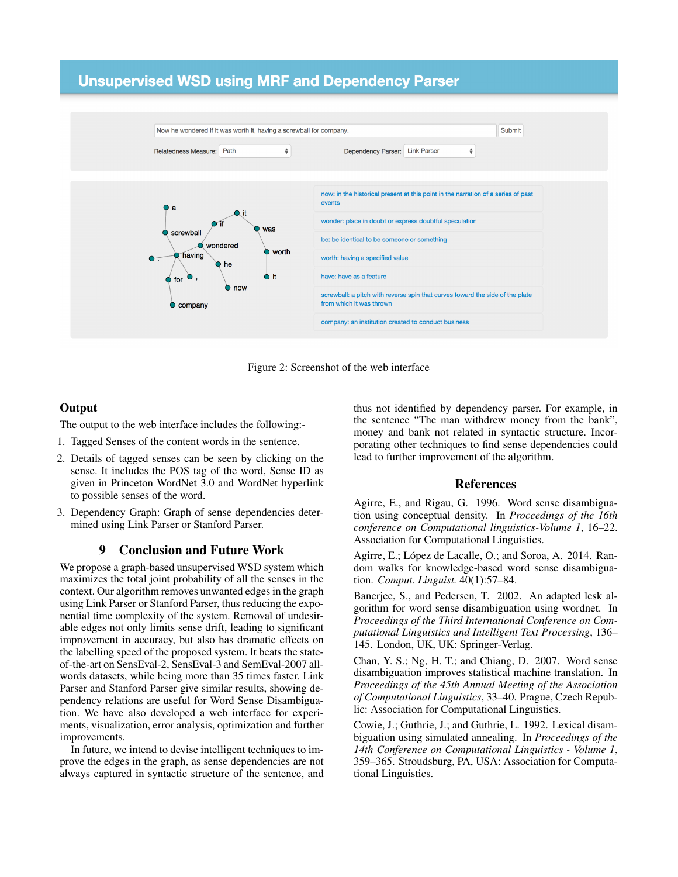# **Unsupervised WSD using MRF and Dependency Parser**



Figure 2: Screenshot of the web interface

## **Output**

The output to the web interface includes the following:-

- 1. Tagged Senses of the content words in the sentence.
- 2. Details of tagged senses can be seen by clicking on the sense. It includes the POS tag of the word, Sense ID as given in Princeton WordNet 3.0 and WordNet hyperlink to possible senses of the word.
- 3. Dependency Graph: Graph of sense dependencies determined using Link Parser or Stanford Parser.

## 9 Conclusion and Future Work

We propose a graph-based unsupervised WSD system which maximizes the total joint probability of all the senses in the context. Our algorithm removes unwanted edges in the graph using Link Parser or Stanford Parser, thus reducing the exponential time complexity of the system. Removal of undesirable edges not only limits sense drift, leading to significant improvement in accuracy, but also has dramatic effects on the labelling speed of the proposed system. It beats the stateof-the-art on SensEval-2, SensEval-3 and SemEval-2007 allwords datasets, while being more than 35 times faster. Link Parser and Stanford Parser give similar results, showing dependency relations are useful for Word Sense Disambiguation. We have also developed a web interface for experiments, visualization, error analysis, optimization and further improvements.

In future, we intend to devise intelligent techniques to improve the edges in the graph, as sense dependencies are not always captured in syntactic structure of the sentence, and

thus not identified by dependency parser. For example, in the sentence "The man withdrew money from the bank", money and bank not related in syntactic structure. Incorporating other techniques to find sense dependencies could lead to further improvement of the algorithm.

#### References

Agirre, E., and Rigau, G. 1996. Word sense disambiguation using conceptual density. In *Proceedings of the 16th conference on Computational linguistics-Volume 1*, 16–22. Association for Computational Linguistics.

Agirre, E.; López de Lacalle, O.; and Soroa, A. 2014. Random walks for knowledge-based word sense disambiguation. *Comput. Linguist.* 40(1):57–84.

Banerjee, S., and Pedersen, T. 2002. An adapted lesk algorithm for word sense disambiguation using wordnet. In *Proceedings of the Third International Conference on Computational Linguistics and Intelligent Text Processing*, 136– 145. London, UK, UK: Springer-Verlag.

Chan, Y. S.; Ng, H. T.; and Chiang, D. 2007. Word sense disambiguation improves statistical machine translation. In *Proceedings of the 45th Annual Meeting of the Association of Computational Linguistics*, 33–40. Prague, Czech Republic: Association for Computational Linguistics.

Cowie, J.; Guthrie, J.; and Guthrie, L. 1992. Lexical disambiguation using simulated annealing. In *Proceedings of the 14th Conference on Computational Linguistics - Volume 1*, 359–365. Stroudsburg, PA, USA: Association for Computational Linguistics.